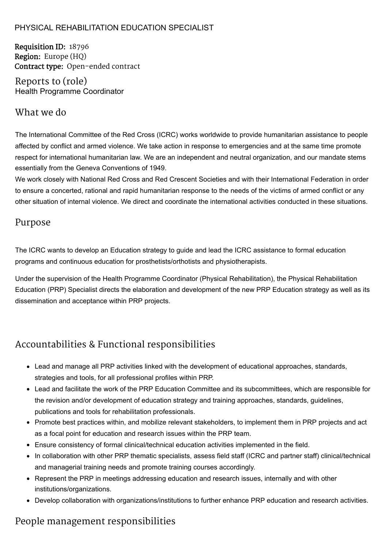#### PHYSICAL REHABILITATION EDUCATION SPECIALIST

Requisition ID: 18796 Region: Europe (HQ) Contract type: Open-ended contract

Reports to (role) Health Programme Coordinator

### What we do

The International Committee of the Red Cross (ICRC) works worldwide to provide humanitarian assistance to people affected by conflict and armed violence. We take action in response to emergencies and at the same time promote respect for international humanitarian law. We are an independent and neutral organization, and our mandate stems essentially from the Geneva Conventions of 1949.

We work closely with National Red Cross and Red Crescent Societies and with their International Federation in order to ensure a concerted, rational and rapid humanitarian response to the needs of the victims of armed conflict or any other situation of internal violence. We direct and coordinate the international activities conducted in these situations.

### Purpose

The ICRC wants to develop an Education strategy to guide and lead the ICRC assistance to formal education programs and continuous education for prosthetists/orthotists and physiotherapists.

Under the supervision of the Health Programme Coordinator (Physical Rehabilitation), the Physical Rehabilitation Education (PRP) Specialist directs the elaboration and development of the new PRP Education strategy as well as its dissemination and acceptance within PRP projects.

## Accountabilities & Functional responsibilities

- Lead and manage all PRP activities linked with the development of educational approaches, standards, strategies and tools, for all professional profiles within PRP.
- Lead and facilitate the work of the PRP Education Committee and its subcommittees, which are responsible for the revision and/or development of education strategy and training approaches, standards, guidelines, publications and tools for rehabilitation professionals.
- Promote best practices within, and mobilize relevant stakeholders, to implement them in PRP projects and act as a focal point for education and research issues within the PRP team.
- Ensure consistency of formal clinical/technical education activities implemented in the field.
- In collaboration with other PRP thematic specialists, assess field staff (ICRC and partner staff) clinical/technical and managerial training needs and promote training courses accordingly.
- Represent the PRP in meetings addressing education and research issues, internally and with other institutions/organizations.
- Develop collaboration with organizations/institutions to further enhance PRP education and research activities.

## People management responsibilities